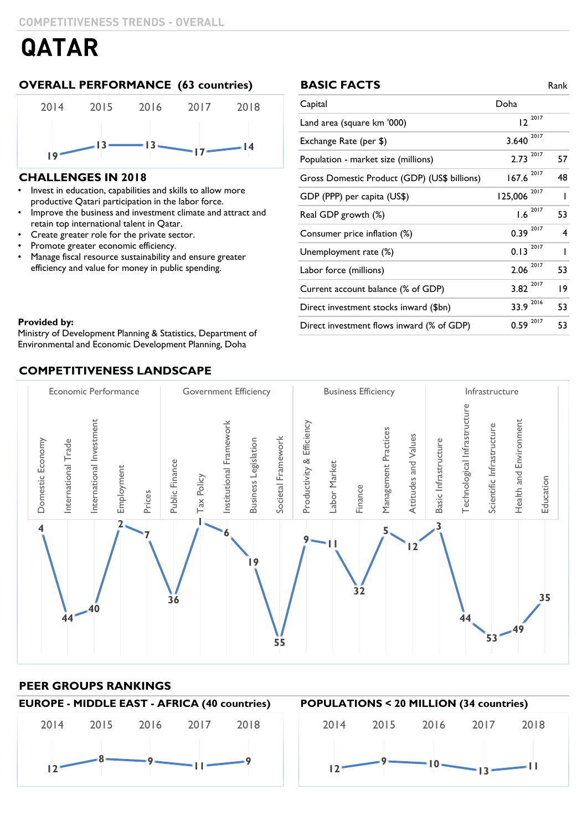# **OVERALL PERFORMANCE (63 countries) BASIC FACTS** Rank



## **CHALLENGES IN 2018**

- Invest in education, capabilities and skills to allow more productive Qatari participation in the labor force.
- Improve the business and investment climate and attract and retain top international talent in Qatar.
- Create greater role for the private sector.
- Promote greater economic efficiency.
- Manage fiscal resource sustainability and ensure greater efficiency and value for money in public spending.

### **BASIC FACTS**

| Capital                                      | Doha                    |    |
|----------------------------------------------|-------------------------|----|
| Land area (square km '000)                   | $12^{2017}$             |    |
| Exchange Rate (per \$)                       | 2017<br>3.640           |    |
| Population - market size (millions)          | 2017<br>2.73            | 57 |
| Gross Domestic Product (GDP) (US\$ billions) | 2017<br>167.6           | 48 |
| GDP (PPP) per capita (US\$)                  | 2017<br>125,006         | ı  |
| Real GDP growth (%)                          | $1.6 \space 2017$       | 53 |
| Consumer price inflation (%)                 | $0.39 \times 10^{2017}$ | 4  |
| Unemployment rate (%)                        | 2017<br>0.13            | ı  |
| Labor force (millions)                       | 2017<br>2.06            | 53 |
| Current account balance (% of GDP)           | 2017<br>3.82            | 9  |
| Direct investment stocks inward (\$bn)       | 33.9 2016               | 53 |
| Direct investment flows inward (% of GDP)    | 2017<br>0.59            | 53 |

**Provided by:**  $\blacksquare$ Environmental and Economic Development Planning, Doha Environmental and Economic Development Planning, DohaMinistry of Development Planning & Statistics, Department of

# **COMPETITIVENESS LANDSCAPE**



## **PEER GROUPS RANKINGS**

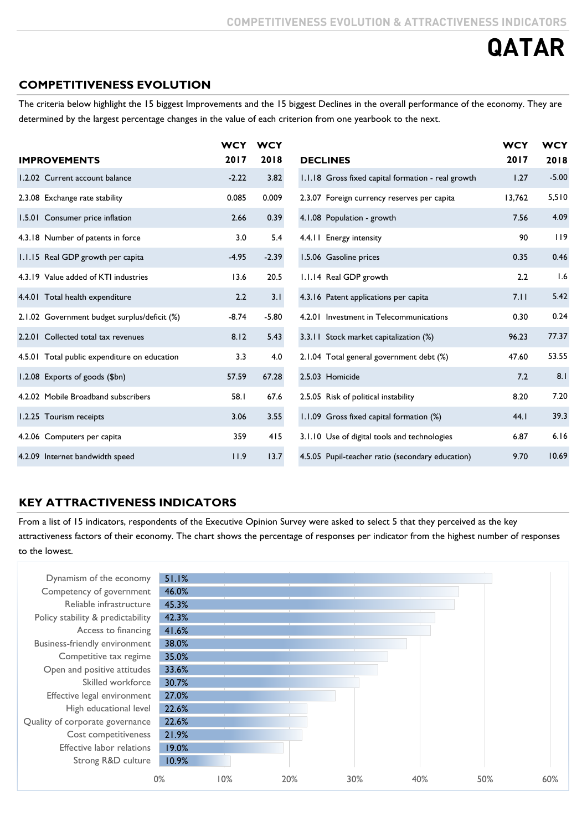# **COMPETITIVENESS EVOLUTION**

The criteria below highlight the 15 biggest Improvements and the 15 biggest Declines in the overall performance of the economy. They are determined by the largest percentage changes in the value of each criterion from one yearbook to the next.

|                                              | <b>WCY</b> | <b>WCY</b> |                                                    | <b>WCY</b> | <b>WCY</b> |
|----------------------------------------------|------------|------------|----------------------------------------------------|------------|------------|
| <b>IMPROVEMENTS</b>                          | 2017       | 2018       | <b>DECLINES</b>                                    | 2017       | 2018       |
| 1.2.02 Current account balance               | $-2.22$    | 3.82       | 1.1.18 Gross fixed capital formation - real growth | 1.27       | $-5.00$    |
| 2.3.08 Exchange rate stability               | 0.085      | 0.009      | 2.3.07 Foreign currency reserves per capita        | 13,762     | 5,510      |
| 1.5.01 Consumer price inflation              | 2.66       | 0.39       | 4.1.08 Population - growth                         | 7.56       | 4.09       |
| 4.3.18 Number of patents in force            | 3.0        | 5.4        | 4.4.11 Energy intensity                            | 90         | 119        |
| 1.1.15 Real GDP growth per capita            | $-4.95$    | $-2.39$    | 1.5.06 Gasoline prices                             | 0.35       | 0.46       |
| 4.3.19 Value added of KTI industries         | 13.6       | 20.5       | 1.1.14 Real GDP growth                             | 2.2        | 1.6        |
| 4.4.01 Total health expenditure              | 2.2        | 3.1        | 4.3.16 Patent applications per capita              | 7.11       | 5.42       |
| 2.1.02 Government budget surplus/deficit (%) | $-8.74$    | $-5.80$    | 4.2.01 Investment in Telecommunications            | 0.30       | 0.24       |
| 2.2.01 Collected total tax revenues          | 8.12       | 5.43       | 3.3.11 Stock market capitalization (%)             | 96.23      | 77.37      |
| 4.5.01 Total public expenditure on education | 3.3        | 4.0        | 2.1.04 Total general government debt (%)           | 47.60      | 53.55      |
| 1.2.08 Exports of goods (\$bn)               | 57.59      | 67.28      | 2.5.03 Homicide                                    | 7.2        | 8.1        |
| 4.2.02 Mobile Broadband subscribers          | 58.1       | 67.6       | 2.5.05 Risk of political instability               | 8.20       | 7.20       |
| 1.2.25 Tourism receipts                      | 3.06       | 3.55       | 1.1.09 Gross fixed capital formation (%)           | 44.1       | 39.3       |
| 4.2.06 Computers per capita                  | 359        | 415        | 3.1.10 Use of digital tools and technologies       | 6.87       | 6.16       |
| 4.2.09 Internet bandwidth speed              | 11.9       | 13.7       | 4.5.05 Pupil-teacher ratio (secondary education)   | 9.70       | 10.69      |

# **KEY ATTRACTIVENESS INDICATORS**

From a list of 15 indicators, respondents of the Executive Opinion Survey were asked to select 5 that they perceived as the key attractiveness factors of their economy. The chart shows the percentage of responses per indicator from the highest number of responses to the lowest.

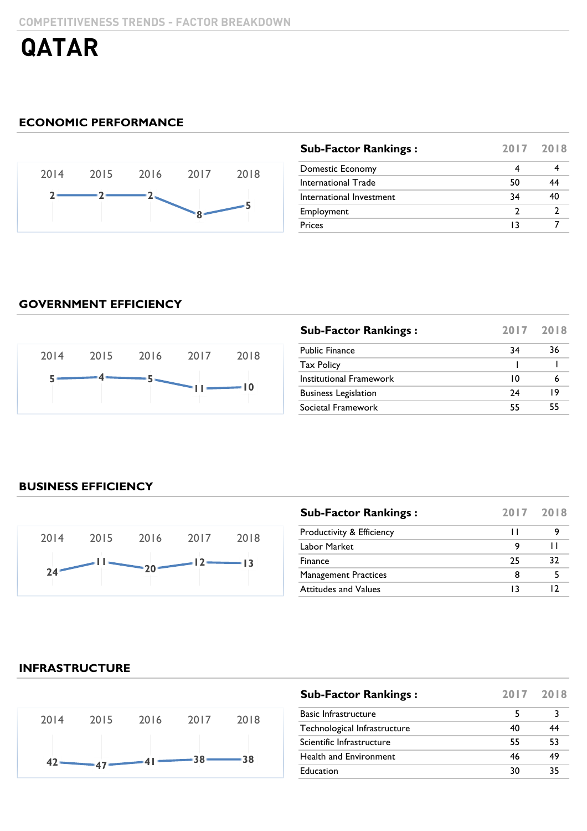# **ECONOMIC PERFORMANCE**



| <b>Sub-Factor Rankings:</b> |    | 2017 2018 |
|-----------------------------|----|-----------|
| Domestic Economy            |    |           |
| International Trade         | 50 | 44        |
| International Investment    | 34 | 40        |
| Employment                  |    |           |
| <b>Prices</b>               | 13 |           |
|                             |    |           |

### **GOVERNMENT EFFICIENCY**



| <b>Sub-Factor Rankings:</b> |    | 2017 2018 |
|-----------------------------|----|-----------|
| <b>Public Finance</b>       | 34 | 36        |
| <b>Tax Policy</b>           |    |           |
| Institutional Framework     | 10 |           |
| <b>Business Legislation</b> | 74 | 19        |
| Societal Framework          | 55 | 55        |

# **BUSINESS EFFICIENCY**



| <b>Sub-Factor Rankings:</b> |    | 2017 2018 |
|-----------------------------|----|-----------|
| Productivity & Efficiency   |    |           |
| Labor Market                | 9  |           |
| Finance                     | 25 | 32        |
| <b>Management Practices</b> | 8  |           |
| <b>Attitudes and Values</b> | 13 |           |

### **INFRASTRUCTURE**



| <b>Sub-Factor Rankings:</b>  | 2017 2018 |    |
|------------------------------|-----------|----|
| <b>Basic Infrastructure</b>  | 5         |    |
| Technological Infrastructure | 40        | 44 |
| Scientific Infrastructure    | 55        | 53 |
| Health and Environment       | 46        | 49 |
| Education                    | 30        | 35 |